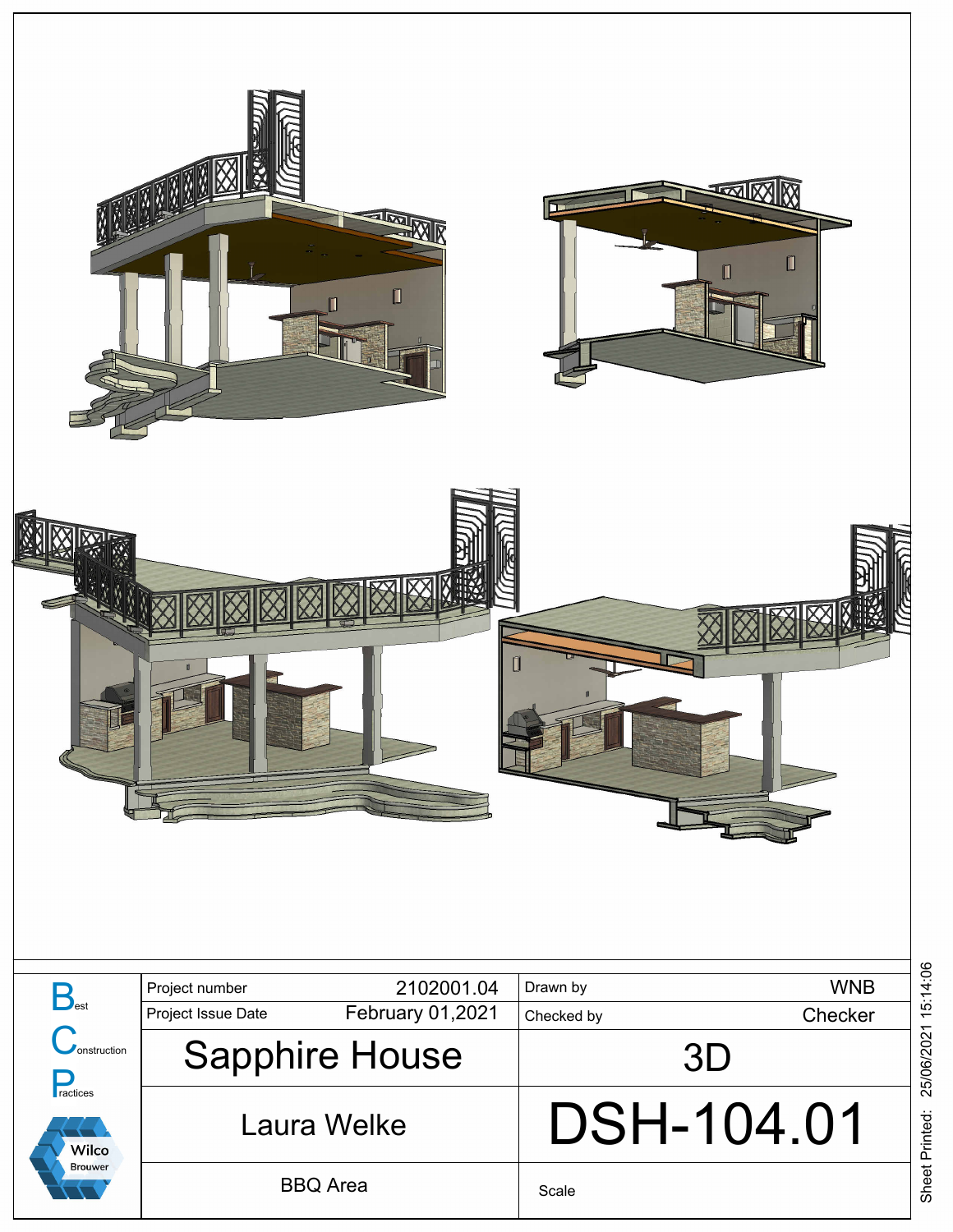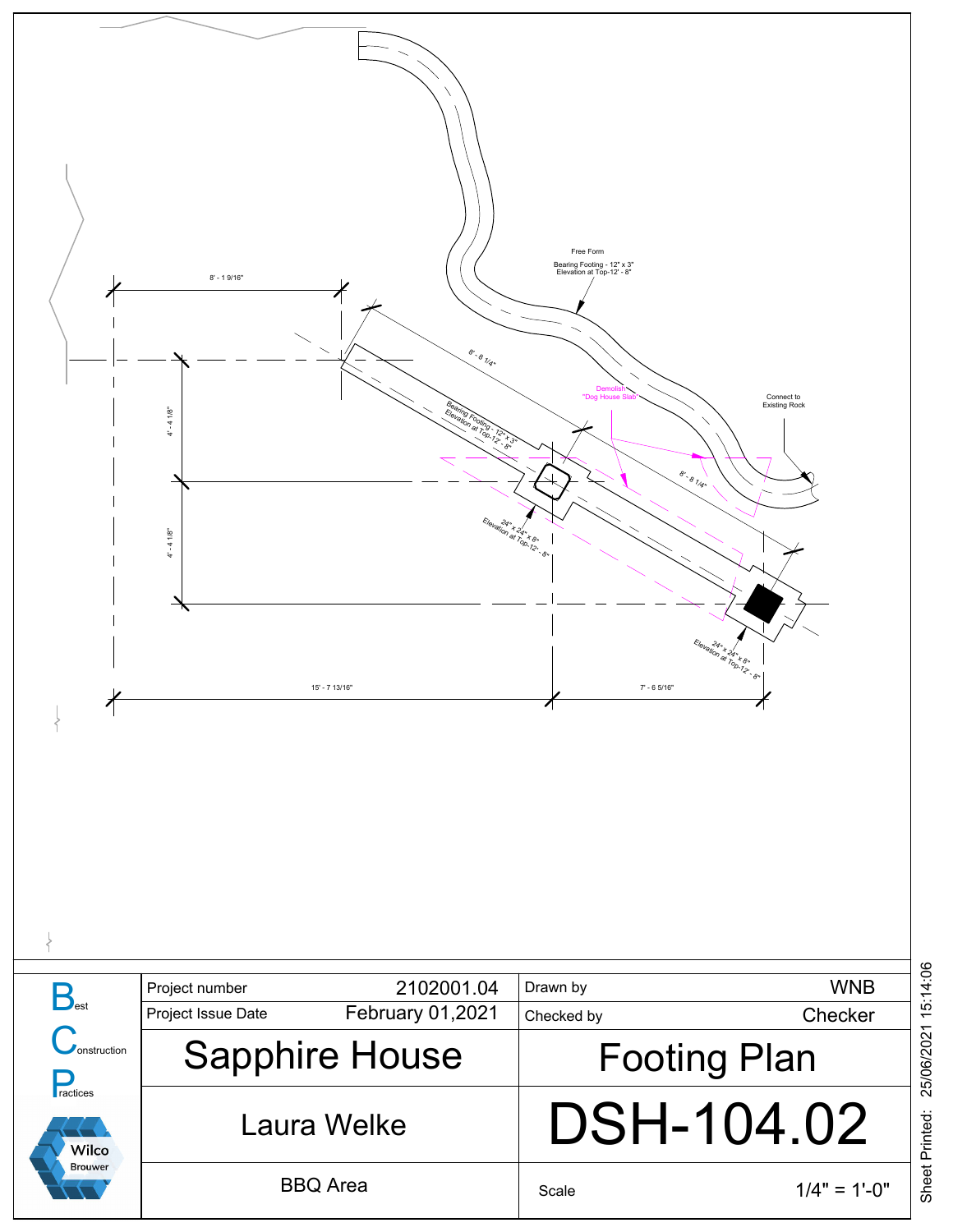

Sheet Printed: 25/06/2021 15:14:06 25/06/2021 15:14:06 Sheet Printed: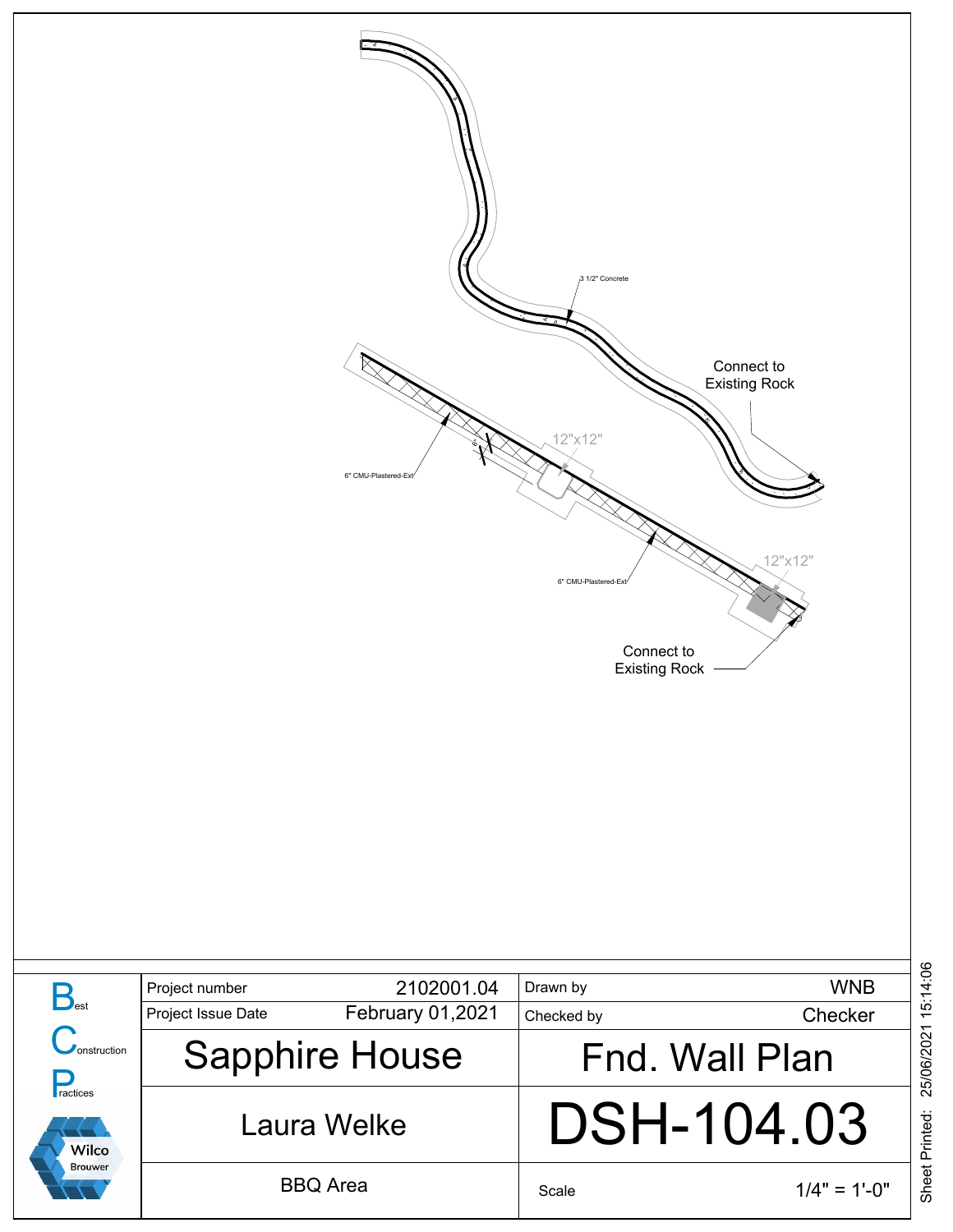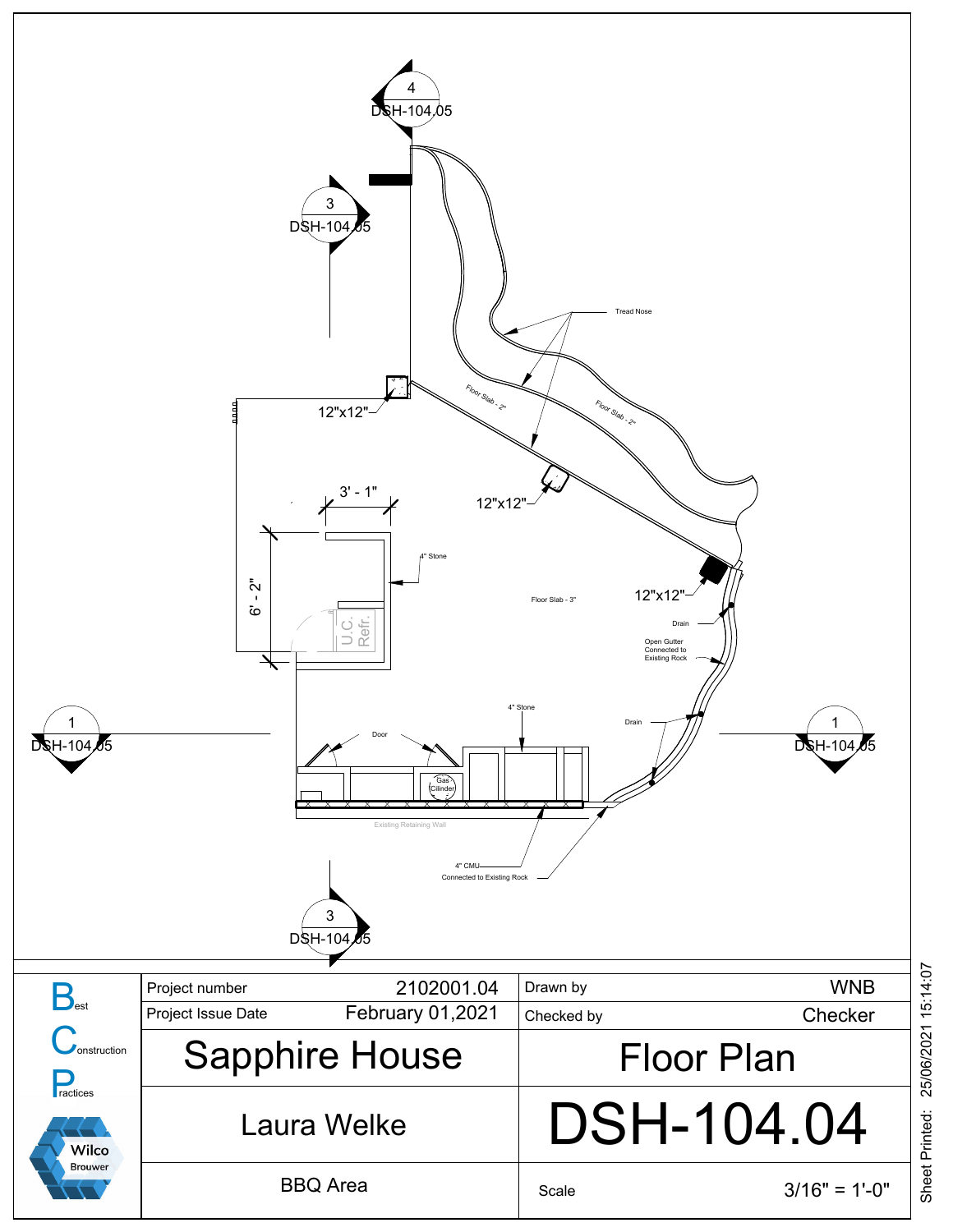

Sheet Printed: 25/06/2021 15:14:07 25/06/2021 15:14:07 Sheet Printed: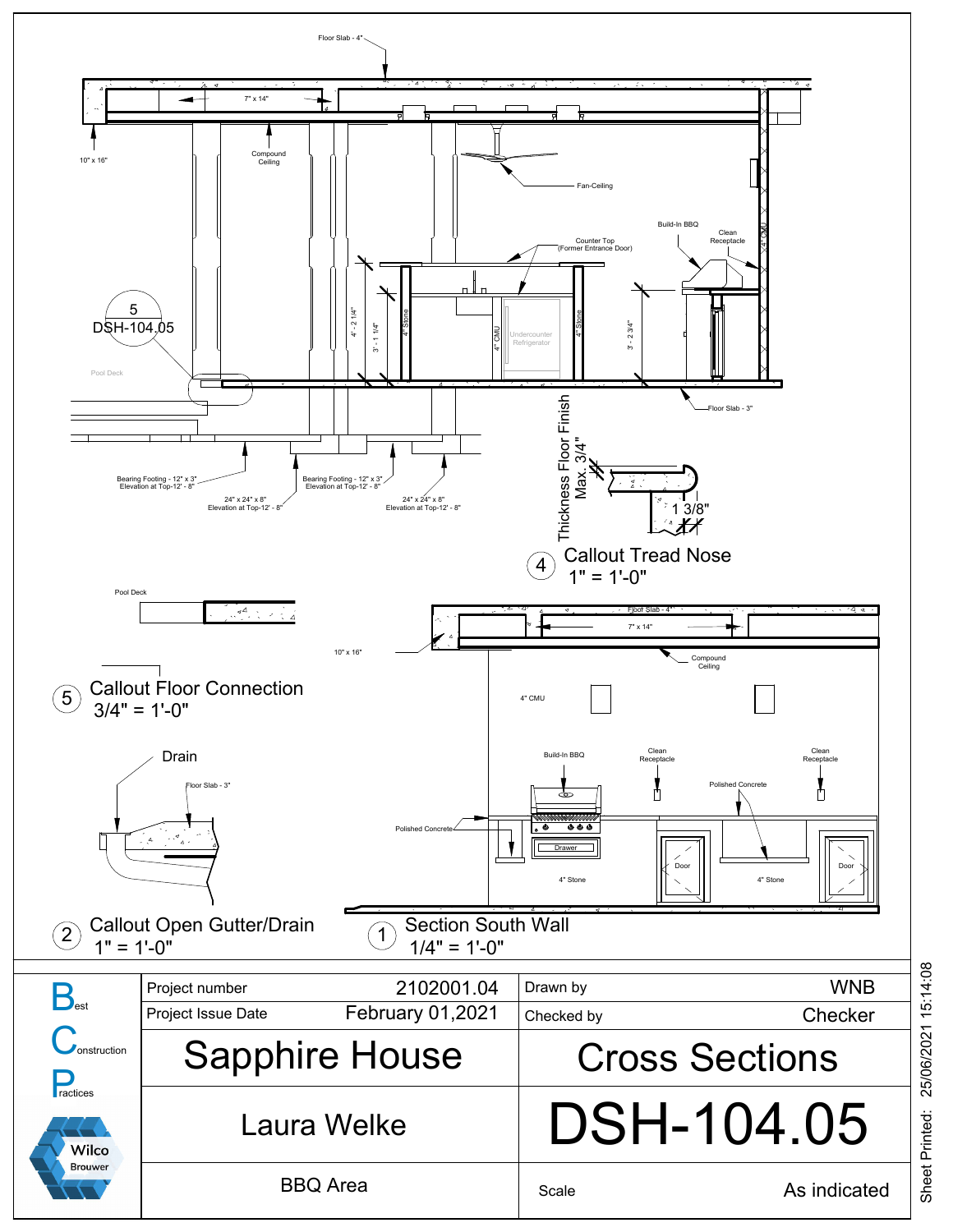<span id="page-4-0"></span>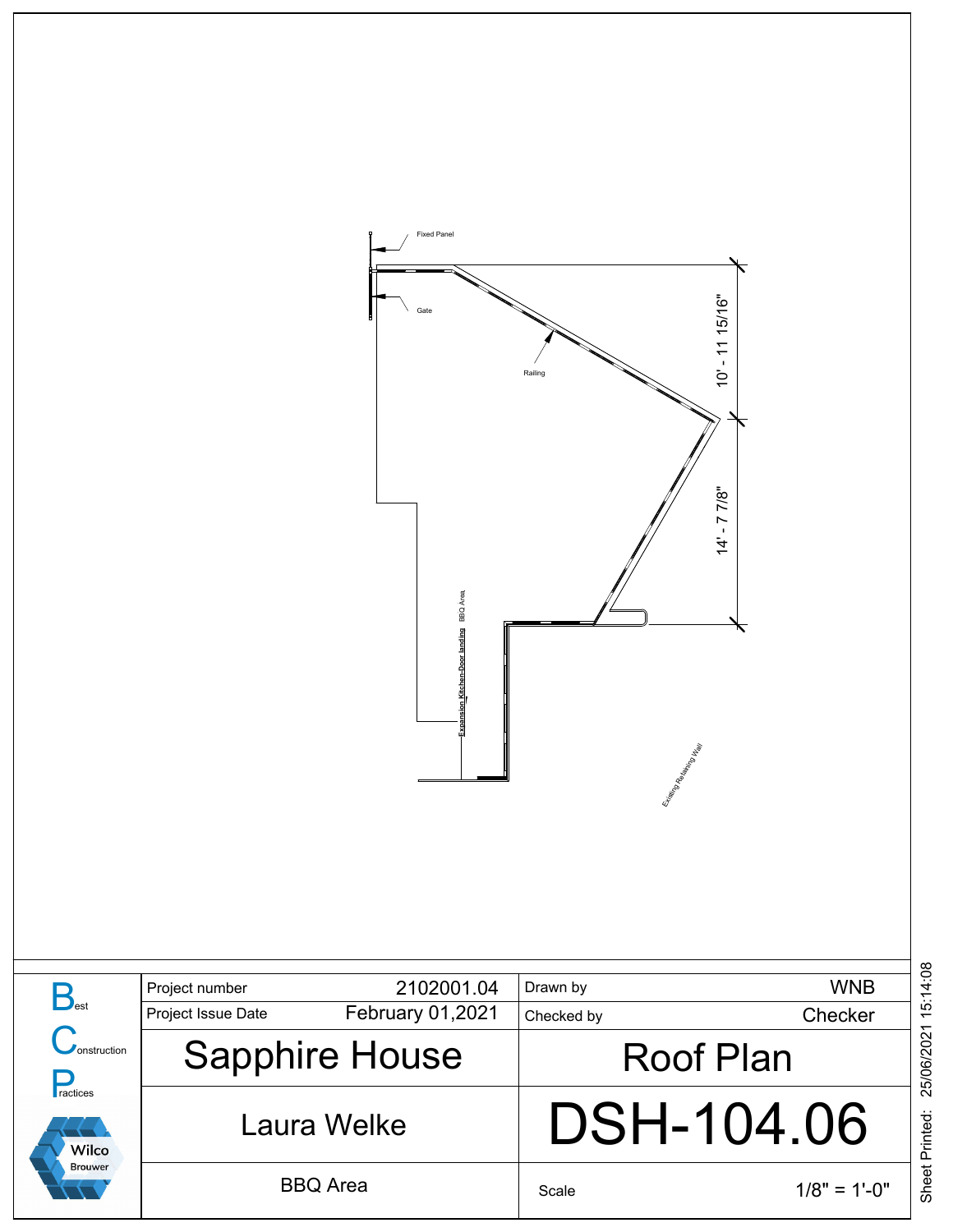

|                                                           | Project number     | 2102001.04            | Drawn by         | <b>WNB</b>     |  |
|-----------------------------------------------------------|--------------------|-----------------------|------------------|----------------|--|
| onstruction<br>ractices<br><b>Wilco</b><br><b>Brouwer</b> | Project Issue Date | February 01,2021      | Checked by       | Checker        |  |
|                                                           |                    | <b>Sapphire House</b> | <b>Roof Plan</b> |                |  |
|                                                           |                    | Laura Welke           | DSH-104.06       |                |  |
|                                                           |                    | <b>BBQ</b> Area       | Scale            | $1/8" = 1'-0"$ |  |

Sheet Printed: 25/06/2021 15:14:08 25/06/2021 15:14:08 Sheet Printed: